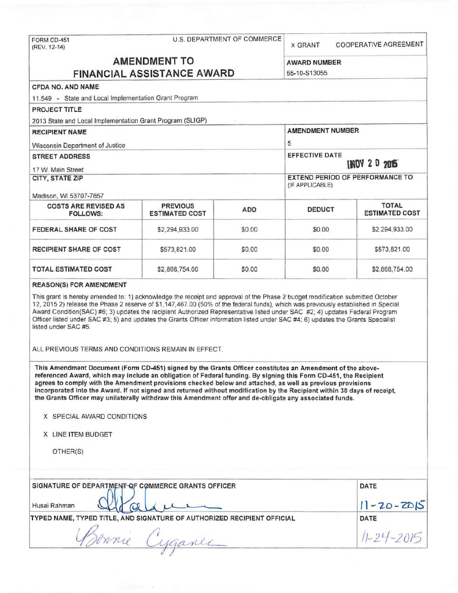| FORM CD-451<br>(REV. 12-14)                                                                                                                                                                                                                                                                                                                                                                                                                                                                                                                                                       | U.S. DEPARTMENT OF COMMERCE              |            |                                                           | COOPERATIVE AGREEMENT                 |  |
|-----------------------------------------------------------------------------------------------------------------------------------------------------------------------------------------------------------------------------------------------------------------------------------------------------------------------------------------------------------------------------------------------------------------------------------------------------------------------------------------------------------------------------------------------------------------------------------|------------------------------------------|------------|-----------------------------------------------------------|---------------------------------------|--|
|                                                                                                                                                                                                                                                                                                                                                                                                                                                                                                                                                                                   |                                          |            |                                                           |                                       |  |
| <b>AMENDMENT TO</b><br><b>FINANCIAL ASSISTANCE AWARD</b>                                                                                                                                                                                                                                                                                                                                                                                                                                                                                                                          |                                          |            | <b>AWARD NUMBER</b><br>55-10-S13055                       |                                       |  |
|                                                                                                                                                                                                                                                                                                                                                                                                                                                                                                                                                                                   |                                          |            |                                                           |                                       |  |
| CFDA NO. AND NAME                                                                                                                                                                                                                                                                                                                                                                                                                                                                                                                                                                 |                                          |            |                                                           |                                       |  |
| 11.549 - State and Local Implementation Grant Program                                                                                                                                                                                                                                                                                                                                                                                                                                                                                                                             |                                          |            |                                                           |                                       |  |
| PROJECT TITLE                                                                                                                                                                                                                                                                                                                                                                                                                                                                                                                                                                     |                                          |            |                                                           |                                       |  |
| 2013 State and Local Implementation Grant Program (SLIGP)<br><b>RECIPIENT NAME</b>                                                                                                                                                                                                                                                                                                                                                                                                                                                                                                |                                          |            | <b>AMENDMENT NUMBER</b>                                   |                                       |  |
|                                                                                                                                                                                                                                                                                                                                                                                                                                                                                                                                                                                   |                                          | 5          |                                                           |                                       |  |
| Wisconsin Department of Justice                                                                                                                                                                                                                                                                                                                                                                                                                                                                                                                                                   |                                          |            |                                                           |                                       |  |
| <b>STREET ADDRESS</b>                                                                                                                                                                                                                                                                                                                                                                                                                                                                                                                                                             |                                          |            | <b>EFFECTIVE DATE</b><br><b>INDY 2 0 2015</b>             |                                       |  |
| 17 W. Main Street                                                                                                                                                                                                                                                                                                                                                                                                                                                                                                                                                                 |                                          |            | <b>EXTEND PERIOD OF PERFORMANCE TO</b><br>(IF APPLICABLE) |                                       |  |
| CITY, STATE ZIP                                                                                                                                                                                                                                                                                                                                                                                                                                                                                                                                                                   |                                          |            |                                                           |                                       |  |
| Madison, WI 53707-7857                                                                                                                                                                                                                                                                                                                                                                                                                                                                                                                                                            |                                          |            |                                                           |                                       |  |
| <b>COSTS ARE REVISED AS</b><br><b>FOLLOWS:</b>                                                                                                                                                                                                                                                                                                                                                                                                                                                                                                                                    | <b>PREVIOUS</b><br><b>ESTIMATED COST</b> | <b>ADD</b> | <b>DEDUCT</b>                                             | <b>TOTAL</b><br><b>ESTIMATED COST</b> |  |
| FEDERAL SHARE OF COST                                                                                                                                                                                                                                                                                                                                                                                                                                                                                                                                                             | \$2,294,933.00                           | \$0.00     | \$0.00                                                    | \$2,294,933.00                        |  |
| <b>RECIPIENT SHARE OF COST</b>                                                                                                                                                                                                                                                                                                                                                                                                                                                                                                                                                    | \$573,821.00                             | \$0.00     | \$0.00                                                    | \$573,821.00                          |  |
| <b>TOTAL ESTIMATED COST</b>                                                                                                                                                                                                                                                                                                                                                                                                                                                                                                                                                       | \$2,868,754.00                           | \$0.00     | \$0.00                                                    | \$2,868,754.00                        |  |
| <b>REASON(S) FOR AMENDMENT</b>                                                                                                                                                                                                                                                                                                                                                                                                                                                                                                                                                    |                                          |            |                                                           |                                       |  |
| This grant is hereby amended to: 1) acknowledge the receipt and approval of the Phase 2 budget modification submitted October<br>12, 2015 2) release the Phase 2 reserve of \$1,147,467.00 (50% of the federal funds), which was previously established in Special<br>Award Condition(SAC) #6; 3) updates the recipient Authorized Representative listed under SAC #2; 4) updates Federal Program<br>Officer listed under SAC #3; 5) and updates the Grants Officer information listed under SAC #4; 6) updates the Grants Specialist<br>listed under SAC #5.                     |                                          |            |                                                           |                                       |  |
| ALL PREVIOUS TERMS AND CONDITIONS REMAIN IN EFFECT.                                                                                                                                                                                                                                                                                                                                                                                                                                                                                                                               |                                          |            |                                                           |                                       |  |
| This Amendment Document (Form CD-451) signed by the Grants Officer constitutes an Amendment of the above-<br>referenced Award, which may include an obligation of Federal funding. By signing this Form CD-451, the Recipient<br>agrees to comply with the Amendment provisions checked below and attached, as well as previous provisions<br>incorporated into the Award. If not signed and returned without modification by the Recipient within 30 days of receipt,<br>the Grants Officer may unilaterally withdraw this Amendment offer and de-obligate any associated funds. |                                          |            |                                                           |                                       |  |
| X SPECIAL AWARD CONDITIONS                                                                                                                                                                                                                                                                                                                                                                                                                                                                                                                                                        |                                          |            |                                                           |                                       |  |
| X LINE ITEM BUDGET                                                                                                                                                                                                                                                                                                                                                                                                                                                                                                                                                                |                                          |            |                                                           |                                       |  |
| OTHER(S)                                                                                                                                                                                                                                                                                                                                                                                                                                                                                                                                                                          |                                          |            |                                                           |                                       |  |
| SIGNATURE OF DEPARTMENT OF COMMERCE GRANTS OFFICER                                                                                                                                                                                                                                                                                                                                                                                                                                                                                                                                |                                          |            |                                                           | DATE                                  |  |
|                                                                                                                                                                                                                                                                                                                                                                                                                                                                                                                                                                                   |                                          |            |                                                           |                                       |  |
| Husai Rahman                                                                                                                                                                                                                                                                                                                                                                                                                                                                                                                                                                      | $11 - 20 - 2015$                         |            |                                                           |                                       |  |
| TYPED NAME, TYPED TITLE, AND SIGNATURE OF AUTHORIZED RECIPIENT OFFICIAL                                                                                                                                                                                                                                                                                                                                                                                                                                                                                                           | DATE                                     |            |                                                           |                                       |  |
|                                                                                                                                                                                                                                                                                                                                                                                                                                                                                                                                                                                   |                                          |            |                                                           |                                       |  |
|                                                                                                                                                                                                                                                                                                                                                                                                                                                                                                                                                                                   | Sonnie Cyganes                           |            |                                                           | $11 - 24 - 2015$                      |  |

 $\mathcal{F}$ 

of the control of the control of